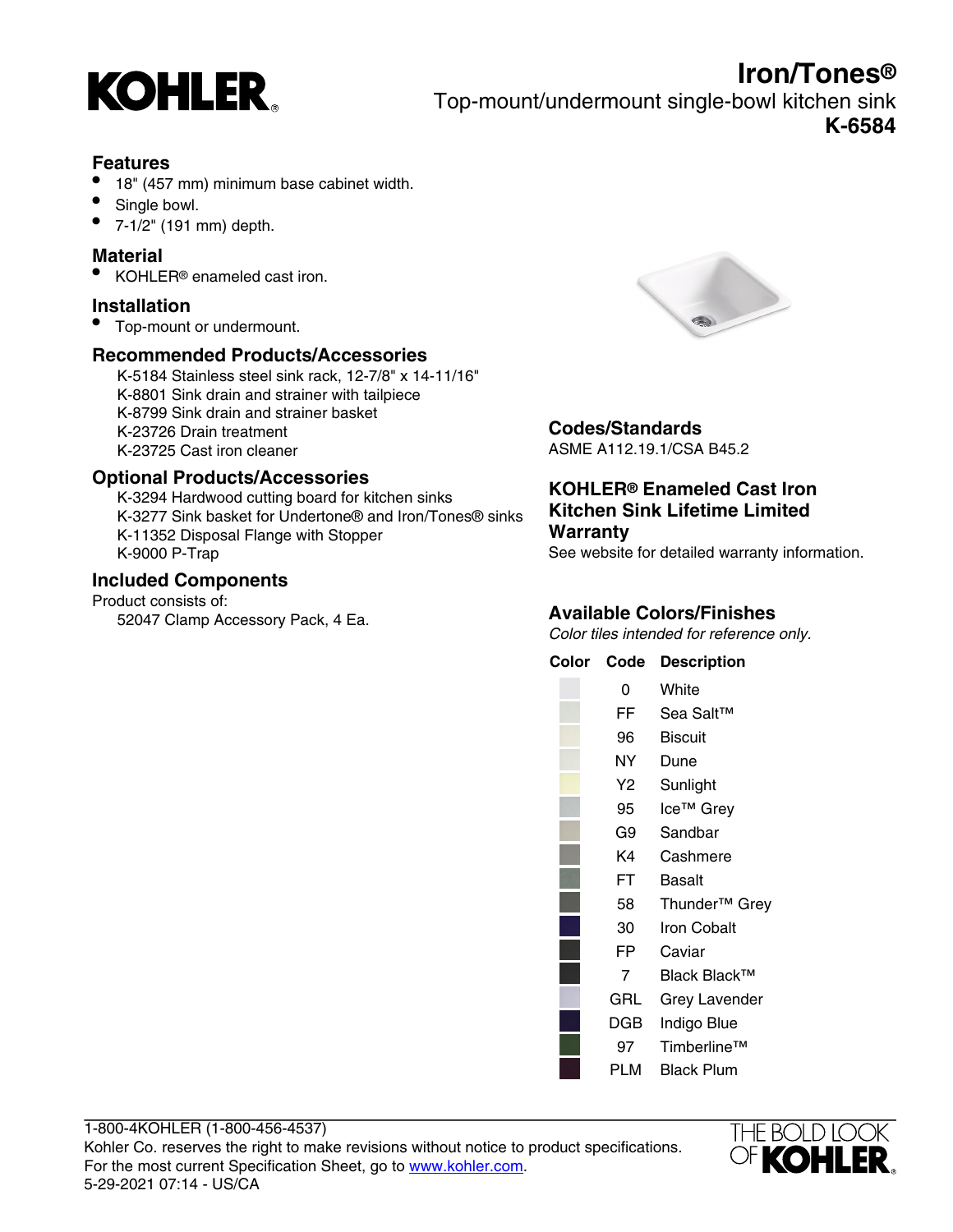

## **Features**

- 18" (457 mm) minimum base cabinet width.
- Single bowl.
- 7-1/2" (191 mm) depth.

## **Material**

• KOHLER® enameled cast iron.

## **Installation**

• Top-mount or undermount.

## **Recommended Products/Accessories**

K-5184 Stainless steel sink rack, 12-7/8" x 14-11/16" K-8801 Sink drain and strainer with tailpiece K-8799 Sink drain and strainer basket K-23726 Drain treatment K-23725 Cast iron cleaner

## **Optional Products/Accessories**

K-3294 Hardwood cutting board for kitchen sinks K-3277 Sink basket for Undertone® and Iron/Tones® sinks K-11352 Disposal Flange with Stopper K-9000 P-Trap

## **Included Components**

Product consists of: 52047 Clamp Accessory Pack, 4 Ea.



# **Codes/Standards**

ASME A112.19.1/CSA B45.2

#### **KOHLER® Enameled Cast Iron Kitchen Sink Lifetime Limited Warranty**

See website for detailed warranty information.

# **Available Colors/Finishes**

Color tiles intended for reference only.

#### **Color Code Description**